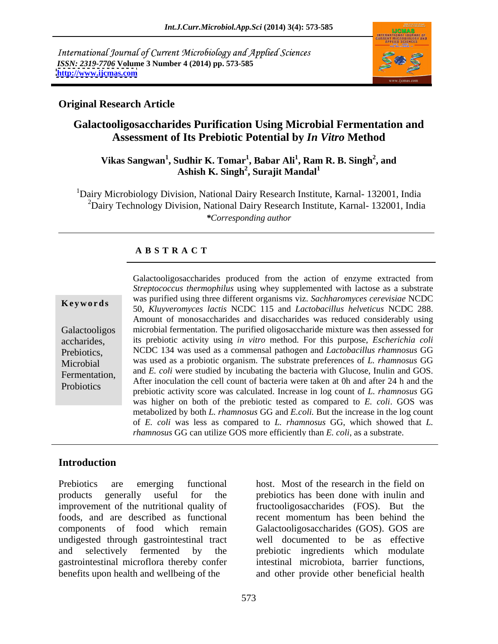International Journal of Current Microbiology and Applied Sciences *ISSN: 2319-7706* **Volume 3 Number 4 (2014) pp. 573-585 <http://www.ijcmas.com>**



### **Original Research Article**

## **Galactooligosaccharides Purification Using Microbial Fermentation and Assessment of Its Prebiotic Potential by** *In Vitro* **Method**

#### $V$ ikas Sangwan $^1$ , Sudhir K. Tomar $^1$ , Babar Ali $^1$ , Ram R. B. Singh $^2$ , and **, and Ashish K. Singh<sup>2</sup> , Surajit Mandal<sup>1</sup>**

<sup>1</sup>Dairy Microbiology Division, National Dairy Research Institute, Karnal-132001, India <sup>2</sup>Dairy Technology Division, National Dairy Research Institute, Karnal- 132001, India *\*Corresponding author*

### **A B S T R A C T**

**Keywords** was purified using time different organisms viz. *Suchnaromyces cereviside* NCDC 50, *Kluyveromyces lactis* NCDC 115 and *Lactobacillus helveticus* NCDC 288.<br>Amount of monosaccharides and disaccharides was reduc Galactooligos microbial fermentation. The purified oligosaccharide mixture was then assessed for accharides, its prebiotic activity using *in vitro* method. For this purpose, *Escherichia coli* Prebiotics, NCDC 134 was used as a commensal pathogen and *Lactobacillus rhamnosus* GG Microbial was used as a probiotic organism. The substrate preferences of *L. rhamnosus* GG Fermentation, and E. converse studied by including the bacteria with Guicose, multimediate of the After inoculation the cell count of bacteria were taken at 0h and after 24 h and the Probiotics prebiotic activity score was calculated. Increase in log count of *L. rhamnosus* GG Galactooligosaccharides produced from the action of enzyme extracted from *Streptococcus thermophilus* using whey supplemented with lactose as a substrate was purified using three different organisms viz. *Sachharomyces cerevisiae* NCDC and *E. coli* were studied by incubating the bacteria with Glucose, Inulin and GOS. was higher on both of the prebiotic tested as compared to *E. coli*. GOS was metabolized by both *L. rhamnosus* GG and *E.coli.* But the increase in the log count of *E. coli* was less as compared to *L. rhamnosus* GG, which showed that *L. rhamnosus* GG can utilize GOS more efficiently than *E. coli*, as a substrate.

### **Introduction**

Prebiotics are emerging functional host. Most of the research in the field on products generally useful for the prebiotics has been done with inulin and improvement of the nutritional quality of fructooligosaccharides (FOS). But the foods, and are described as functional components of food which remain Galactooligosaccharides (GOS). GOS are undigested through gastrointestinal tract and selectively fermented by the prebiotic ingredients which modulate gastrointestinal microflora thereby confer

benefits upon health and wellbeing of the and other provide other beneficial health recent momentum has been behind the well documented to be as effective intestinal microbiota, barrier functions,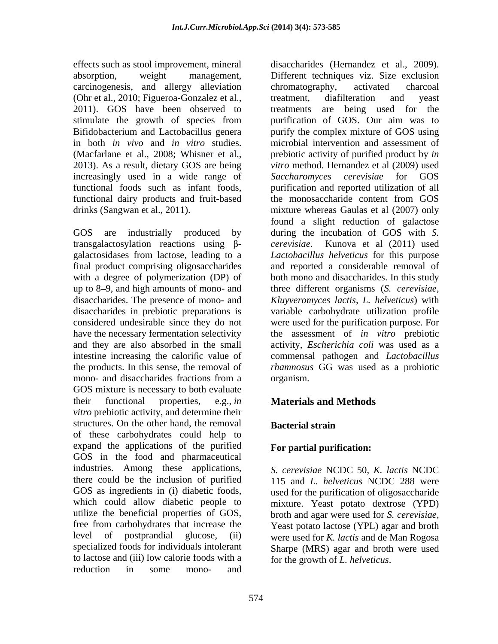carcinogenesis, and allergy alleviation (Ohr et al., 2010; Figueroa-Gonzalez et al., 2011). GOS have been observed to treatments are being used for the 2013). As a result, dietary GOS are being increasingly used in a wide range of Saccharomyces cerevisiae for GOS functional dairy products and fruit-based the monosaccharide content from GOS

transgalactosylation reactions using  $\beta$ - *cerevisiae*. Kunova et al (2011) used with a degree of polymerization (DP) of disaccharides in prebiotic preparations is mono- and disaccharides fractions from a organism. GOS mixture is necessary to both evaluate their functional properties, e.g., *in*  **Materials and Methods** *vitro* prebiotic activity, and determine their structures. On the other hand, the removal **Bacterial strain** of these carbohydrates could help to expand the applications of the purified GOS in the food and pharmaceutical industries. Among these applications, there could be the inclusion of purified GOS as ingredients in (i) diabetic foods, used for the purification of oligosaccharide which could allow diabetic people to mixture. Yeast potato dextrose (YPD) utilize the beneficial properties of GOS, broth and agar were used for S. cerevisiae, free from carbohydrates that increase the Yeast potato lactose (YPL) agar and broth level of postprandial glucose, (ii) were used for *K. lactis* and de Man Rogosa specialized foods for individuals intolerant to lactose and (iii) low calorie foods with a reduction in some mono- and

effects such as stool improvement, mineral disaccharides (Hernandez et al., 2009). absorption, weight management, Different techniques viz. Size exclusion stimulate the growth of species from purification of GOS. Our aim was to Bifidobacterium and Lactobacillus genera purify the complex mixture of GOS using in both *in vivo* and *in vitro* studies. microbial intervention and assessment of (Macfarlane et al., 2008; Whisner et al., prebiotic activity of purified product by *in* functional foods such as infant foods, purification and reported utilization of all drinks (Sangwan et al., 2011). mixture whereas Gaulas et al (2007) only GOS are industrially produced by during the incubation of GOS with *S.*  galactosidases from lactose, leading to a *Lactobacillus helveticus* for this purpose final product comprising oligosaccharides and reported a considerable removal of up to 8 9, and high amounts of mono- and three different organisms (*S. cerevisiae,* disaccharides. The presence of mono- and *Kluyveromyces lactis, L. helveticus*) with considered undesirable since they do not were used for the purification purpose. For have the necessary fermentation selectivity the assessment of *in vitro* prebiotic and they are also absorbed in the small activity, *Escherichia coli* was used as a intestine increasing the calorific value of commensal pathogen and *Lactobacillus* the products. In this sense, the removal of *rhamnosus* GG was used as a probiotic chromatography, activated charcoal treatment, diafilteration and yeast treatments are being used for the *vitro* method. Hernandez et al (2009) used *Saccharomyces cerevisiae* for GOS the monosaccharide content from GOS found a slight reduction of galactose *cerevisiae*. Kunova et al (2011) used both mono and disaccharides. In this study variable carbohydrate utilization profile organism.

### **Bacterial strain**

### **For partial purification:**

*S. cerevisiae* NCDC 50, *K. lactis* NCDC 115 and *L. helveticus* NCDC 288 were broth and agar were used for *S. cerevisiae*, Yeast potato lactose (YPL) agar and broth Sharpe (MRS) agar and broth were used for the growth of *L. helveticus*.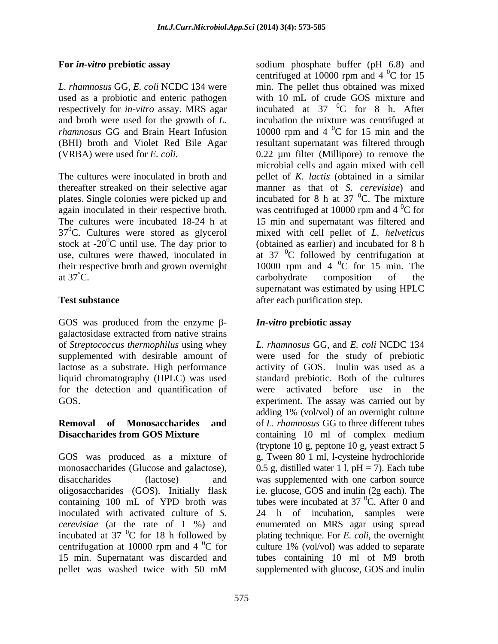respectively for *in-vitro* assay. MRS agar

plates. Single colonies were picked up and at  $37^{\circ}$ C. carbohydrate composition of the

GOS was produced from the enzyme  $\beta$ - *In-vitro* prebiotic assay galactosidase extracted from native strains of *Streptococcus thermophilus* using whey for the detection and quantification of were activated before use in the

# **Disaccharides from GOS Mixture**  $\qquad$  containing 10 ml of complex medium

centrifugation at 10000 rpm and 4  $^{0}C$  for culture 1% (vol/vol) was added to separate

**For** *in-vitro* **prebiotic assay** sodium phosphate buffer (pH 6.8) and *L. rhamnosus* GG, *E. coli* NCDC 134 were min. The pellet thus obtained was mixed used as a probiotic and enteric pathogen with 10 mL of crude GOS mixture and and broth were used for the growth of *L.*  incubation the mixture was centrifuged at *rhamnosus* GG and Brain Heart Infusion 10000 rpm and 4 <sup>o</sup>C for 15 min and the (BHI) broth and Violet Red Bile Agar resultant supernatant was filtered through (VRBA) were used for *E. coli.*  0.22 µm filter (Millipore) to remove the The cultures were inoculated in broth and pellet of *K. lactis* (obtained in a similar thereafter streaked on their selective agar manner as that of *S*. *cerevisiae*) and again inoculated in their respective broth. was centrifuged at  $10000$  rpm and  $4^{\circ}$ C for The cultures were incubated 18-24 h at 15 min and supernatant was filtered and 370C. Cultures were stored as glycerol mixed with cell pellet of *L. helveticus* stock at -20 $\mathrm{^{0}C}$  until use. The day prior to (obtained as earlier) and incubated for 8 h use, cultures were thawed, inoculated in  $\alpha$  at 37  $\mathrm{^{0}C}$  followed by centrifugation at their respective broth and grown overnight  $10000$  rpm and  $4\degree$ C for 15 min. The **Test substance** after each purification step. centrifuged at 10000 rpm and  $4^{\circ}$ C for 15  ${}^{0}C$  for 15 incubated at  $37\degree$ C for 8 h. After  ${}^{0}C$  for 8 h. After  ${}^{0}C$  for 15 min and the microbial cells and again mixed with cell incubated for 8 h at 37  $\mathrm{^0C}$ . The mixture  ${}^{0}C$ . The mixture  ${}^{0}C$  for  ${}^{0}C$  for 15 min. The carbohydrate composition of the supernatant was estimated by using HPLC

### *In-vitro* **prebiotic assay**

supplemented with desirable amount of were used for the study of prebiotic lactose as a substrate. High performance activity of GOS. Inulin was used as a liquid chromatography (HPLC) was used standard prebiotic. Both of the cultures GOS. experiment. The assay was carried out by **Removal of Monosaccharides and** of *L. rhamnosus* GG to three different tubes GOS was produced as a mixture of g, Tween 80 1 ml, l-cysteine hydrochloride monosaccharides (Glucose and galactose),  $0.5$  g, distilled water 1 l, pH = 7). Each tube disaccharides (lactose) and was supplemented with one carbon source oligosaccharides (GOS). Initially flask i.e. glucose, GOS and inulin (2g each). The containing 100 mL of YPD broth was tubes were incubated at  $37^{\circ}$ C. After 0 and inoculated with activated culture of *S*. 24 h of incubation, samples were *cerevisiae* (at the rate of 1 %) and enumerated on MRS agar using spread incubated at 37 0C for 18 h followed by plating technique. For *E. coli*, the overnight centrifugation at 10000 rpm and 4  $\mathrm{^0C}$  for culture 1% (vol/vol) was added to separate 15 min. Supernatant was discarded and tubes containing 10 ml of M9 broth pellet was washed twice with 50 mM supplemented with glucose, GOS and inulin *L. rhamnosus* GG, and *E. coli* NCDC 134 were activated before use in adding 1% (vol/vol) of an overnight culture containing 10 ml of complex medium (tryptone 10 g, peptone 10 g, yeast extract 5  ${}^{0}C$ . After 0 and culture1% (vol/vol) was added to separate supplemented with glucose, GOS and inulin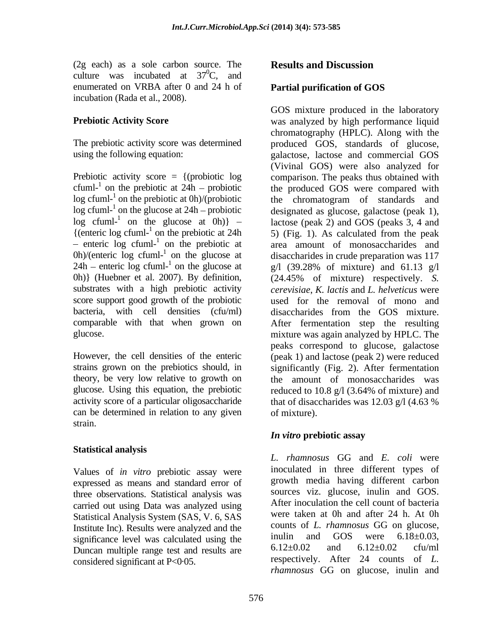$(2g \text{ each})$  as a sole carbon source. The **Results and Discussion** culture was incubated at  $37^{\circ}$ C, and  ${}^{0}C$ , and  ${}^{0}C$ enumerated on VRBA after 0 and 24 h of **Partial purification of GOS** incubation (Rada et al., 2008).

 $\log$  cfuml-<sup>1</sup> on the prebiotic at 0h)/(probiotic  $\log$  cfuml-<sup>1</sup> on the glucose at 24h – probiotic  $log$  cfuml-<sup>1</sup> on the glucose at 0h)} – {(enteric log cfuml-<sup>1</sup> on the prebiotic at 24h)  $24h$  – enteric log cfuml-<sup>1</sup> on the glucose at substrates with a high prebiotic activity

theory, be very low relative to growth on glucose. Using this equation, the prebiotic reduced to 10.8 g/l (3.64% of mixture) and can be determined in relation to any given of mixture). strain.

### **Statistical analysis**

Values of *in vitro* prebiotic assay were expressed as means and standard error of three observations. Statistical analysis was carried out using Data was analyzed using Statistical Analysis System (SAS, V. 6, SAS Institute Inc). Results were analyzed and the counts of L. rhamnosus GG on glucose,<br>significance lavel was calculated using the inulin and GOS were  $6.18\pm0.03$ . significance level was calculated using the  $\frac{1 \text{null}}{6.12 \pm 0.02}$  and  $\frac{1 \text{GOS}}{6.12 \pm 0.02}$  cfu/ml Duncan multiple range test and results are

### **Partial purification of GOS**

**Prebiotic Activity Score** Mass analyzed by high performance liquid The prebiotic activity score was determined produced GOS, standards of glucose, using the following equation: galactose, lactose and commercial GOS Prebiotic activity score = {(probiotic log comparison. The peaks thus obtained with cfuml-<sup>1</sup> on the prebiotic at  $24h$  – probiotic the produced GOS were compared with on the prebiotic at 0h)/(probiotic the chromatogram of standards and on the glucose at 24h – probiotic designated as glucose, galactose (peak 1), on the glucose at 0h)} lactose (peak 2) and GOS (peaks 3, 4 and  $5$ ) (Fig. 1). As calculated from the peak enteric log cfuml-<sup>1</sup> on the prebiotic at area amount of monosaccharides and on the prebiotic at area amount of monosaccharides and 0h)/(enteric log cfuml-<sup>1</sup> on the glucose at disaccharides in crude preparation was 117 on the glucose at disaccharides in crude preparation was 117 on the glucose at g/l (39.28% of mixture) and 61.13 g/l 0h)} (Huebner et al. 2007). By definition, (24.45% of mixture) respectively. *S.*  score support good growth of the probiotic used for the removal of mono and bacteria, with cell densities (cfu/ml) disaccharides from the GOS mixture. comparable with that when grown on After fermentation step the resulting glucose. mixture was again analyzed by HPLC. The However, the cell densities of the enteric (peak 1) and lactose (peak 2) were reduced strains grown on the prebiotics should, in significantly (Fig. 2). After fermentation activity score of a particular oligosaccharide that of disaccharides was 12.03 g/l (4.63 % Cas are the combine at a star-<br>considered signification of COS can be a signification of COS can be a signification of COS can be a signification of COS can be a signification of COS can be a signification of COS can be a GOS mixture produced in the laboratory chromatography (HPLC). Along with the (Vivinal GOS) were also analyzed for 5) (Fig. 1). As calculated from the peak *cerevisiae*, *K. lactis* and *L. helveticus* were peaks correspond to glucose, galactose the amount of monosaccharides was reduced to 10.8 g/l (3.64% of mixture) and of mixture).

### *In vitro* **prebiotic assay**

*L. rhamnosus* GG and *E. coli* were inoculated in three different types of growth media having different carbon sources viz. glucose, inulin and GOS. After inoculation the cell count of bacteria were taken at 0h and after 24 h. At 0h counts of *L. rhamnosus* GG on glucose, inulin and GOS were  $6.18 \pm 0.03$ , 6.12 $\pm$ 0.02 and 6.12 $\pm$ 0.02 cfu/ml respectively. After 24 counts of *L. rhamnosus* GG on glucose, inulin and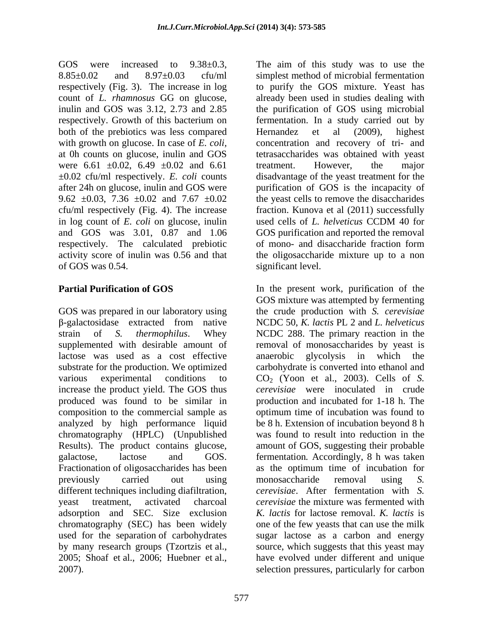GOS were increased to  $9.38 \pm 0.3$ , The aim of this study was to use the 8.85±0.02 and 8.97±0.03 cfu/ml simplest method of microbial fermentation respectively (Fig. 3). The increase in log to purify the GOS mixture. Yeast has count of *L. rhamnosus* GG on glucose, already been used in studies dealing with inulin and GOS was 3.12, 2.73 and 2.85 the purification of GOS using microbial respectively. Growth of this bacterium on fermentation. In a study carried out by both of the prebiotics was less compared Hernandez et al (2009), highest with growth on glucose. In case of *E. coli*, concentration and recovery of tri- and at 0h counts on glucose, inulin and GOS were  $6.61 \pm 0.02$ ,  $6.49 \pm 0.02$  and  $6.61$  treatment. However, the major ±0.02 cfu/ml respectively. *E. coli* counts disadvantage of the yeast treatment for the after 24h on glucose, inulin and GOS were purification of GOS is the incapacity of 9.62  $\pm$ 0.03, 7.36  $\pm$ 0.02 and 7.67  $\pm$ 0.02 the yeast cells to remove the disaccharides cfu/ml respectively (Fig. 4). The increase in log count of *E. coli* on glucose, inulin and GOS was 3.01, 0.87 and 1.06 GOS purification and reported the removal respectively. The calculated prebiotic activity score of inulin was 0.56 and that the oligosaccharide mixture up to a non of GOS was 0.54. significant level.

GOS was prepared in our laboratory using strain of *S. thermophilus*. Whey NCDC 288. The primary reaction in the supplemented with desirable amount of lactose was used as a cost effective anaerobic glycolysis in which the substrate for the production. We optimized carbohydrate is converted into ethanol and various experimental conditions to  $CO_2$  (Yoon et al., 2003). Cells of *S*. increase the product yield. The GOS thus *cerevisiae* were inoculated in crude produced was found to be similar in composition to the commercial sample as optimum time of incubation was found to analyzed by high performance liquid chromatography (HPLC) (Unpublished Results). The product contains glucose, amount of GOS, suggesting their probable galactose, lactose and GOS. fermentation*.* Accordingly, 8 h was taken Fractionation of oligosaccharides has been as the optimum time of incubation for previously carried out using monosaccharide removal using S. different techniques including diafiltration, yeast treatment, activated charcoal *cerevisiae* the mixture was fermented with adsorption and SEC. Size exclusion chromatography (SEC) has been widely one of the few yeasts that can use the milk used for the separation of carbohydrates sugar lactose as a carbon and energy by many research groups (Tzortzis et al., source, which suggests that this yeast may 2005; Shoaf et al., 2006; Huebner et al., have evolved under different and unique 2007). selection pressures, particularly for carbon

Hernandez et al (2009), highest tetrasaccharides was obtained with yeast treatment. However, the major fraction. Kunova et al (2011) successfully used cells of *L. helveticus* CCDM 40 for of mono- and disaccharide fraction form

**Partial Purification of GOS** The the present work, purification of the -galactosidase extracted from native NCDC 50, *K. lactis* PL 2 and *L. helveticus* GOS mixture was attempted by fermenting the crudeproduction with *S. cerevisiae* removal of monosaccharides by yeast is production and incubated for 1-18 h. The be 8 h. Extension of incubation beyond 8 h was found to result into reduction in the as the optimum time of incubation for monosaccharide removal using *S. cerevisiae*. After fermentation with *S. K. lactis* for lactose removal. *K. lactis* is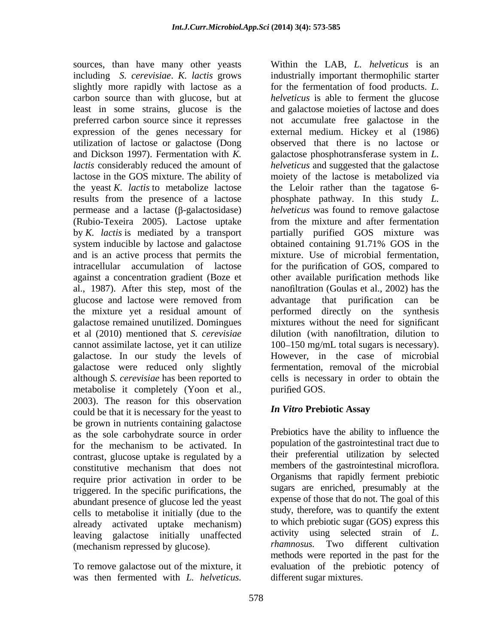sources, than have many other yeasts Within the LAB, L. helveticus is an utilization of lactose or galactose (Dong lactose in the GOS mixture. The ability of the yeast *K. lactis* to metabolize lactose (Rubio-Texeira 2005). Lactose uptake system inducible by lactose and galactose obtained containing 91.71% GOS in the and is an active process that permits the al., 1987). After this step, most of the cannot assimilate lactose, yet it can utilize galactose. In our study the levels of galactose were reduced only slightly metabolise it completely (Yoon et al., purified GOS. 2003). The reason for this observation<br>could be that it is necessary for the yeast to **In Vitro Prebiotic Assay** could be that it is necessary for the yeast to be grown in nutrients containing galactose as the sole carbohydrate source in order for the mechanism to be activated. In population of the gastrointestinal tract due to contrast, glucose uptake is regulated by a constitutive mechanism that does not require prior activation in order to be triggered. In the specific purifications, the abundant presence of glucose led the yeast cells to metabolise it initially (due to the already activated uptake mechanism) leaving galactose initially unaffected (mechanism repressed by glucose). some, than have many caller years. Which the LAB, *F*. *helveticus* is an interdepting of constrained with the<br>constrained with the restriction of local products. Let the method with<br>the local products in the constrained

including *S. cerevisiae*. *K. lactis* grows industrially important thermophilic starter slightly more rapidly with lactose as a for the fermentation of food products. *L.*  carbon source than with glucose, but at *helveticus* is able to ferment the glucose least in some strains, glucose is the and galactose moieties of lactose and does preferred carbon source since it represses not accumulate free galactose in the expression of the genes necessary for external medium. Hickey et al (1986) and Dickson 1997). Fermentation with *K.* galactose phosphotransferase system in *L. lactis* considerably reduced the amount of *helveticus* and suggested that the galactose results from the presence of a lactose phosphate pathway. In this study *L.*  permease and a lactase (β-galactosidase) *helveticus* was found to remove galactose by *K. lactis* is mediated by a transport partially purified GOS mixture was intracellular accumulation of lactose for the purification of GOS, compared to against a concentration gradient (Boze et other available purification methods like glucose and lactose were removed from advantage that purification can be the mixture yet a residual amount of performed directly on the synthesis galactose remained unutilized. Domingues mixtures without the need for significant et al (2010) mentioned that *S. cerevisiae* dilution (with nanofiltration, dilution to although *S. cerevisiae* has been reported to cells is necessary in order to obtain the observed that there is no lactose or moiety of the lactose is metabolized via the Leloir rather than the tagatose 6 from the mixture and after fermentation obtained containing 91.71% GOS in the mixture. Use of microbial fermentation, nano filtration (Goulas et al., 2002) has the advantage that purification can be  $100 - 150$  mg/mL total sugars is necessary). However, in the case of microbial fermentation, removal of the microbial purified GOS.

### *In Vitro* **Prebiotic Assay**

To remove galactose out of the mixture, it evaluation of the prebiotic potency of Prebiotics have the ability to influence the population of the gastrointestinal tract due to their preferential utilization by selected members of the gastrointestinal microflora. Organisms that rapidly ferment prebiotic sugars are enriched, presumably at the expense of those that do not. The goal of this study, therefore, was to quantify the extent to which prebiotic sugar (GOS) express this activity using selected strain of *L. rhamnosus*. Two different cultivation methods were reported in the past for the different sugar mixtures.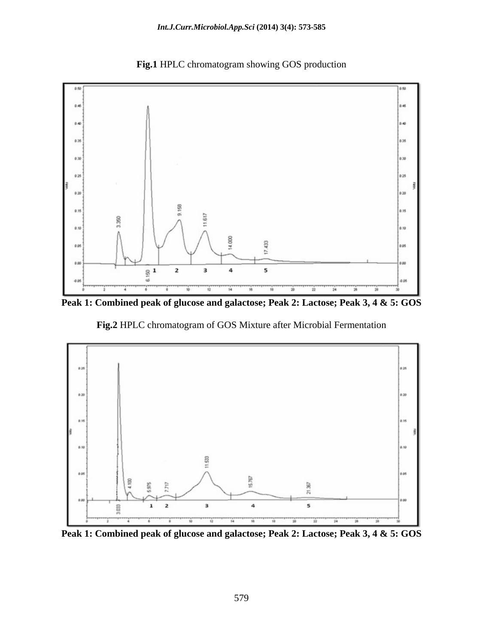

**Fig.1** HPLC chromatogram showing GOS production

**Peak 1: Combined peak of glucose and galactose; Peak 2: Lactose; Peak 3, 4 & 5: GOS**

 **Fig.2** HPLC chromatogram of GOS Mixture after Microbial Fermentation



**Peak 1: Combined peak of glucose and galactose; Peak 2: Lactose; Peak 3, 4 & 5: GOS**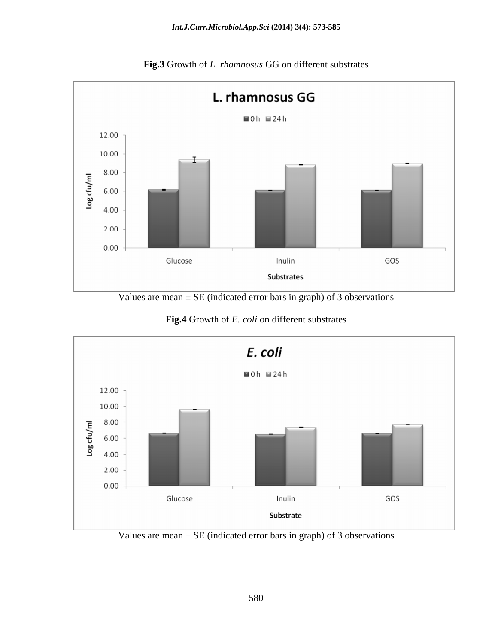

**Fig.3** Growth of *L. rhamnosus* GG on different substrates

Values are mean  $\pm$  SE (indicated error bars in graph) of 3 observations

**Fig.4** Growth of *E. coli* on different substrates



Values are mean  $\pm$  SE (indicated error bars in graph) of 3 observations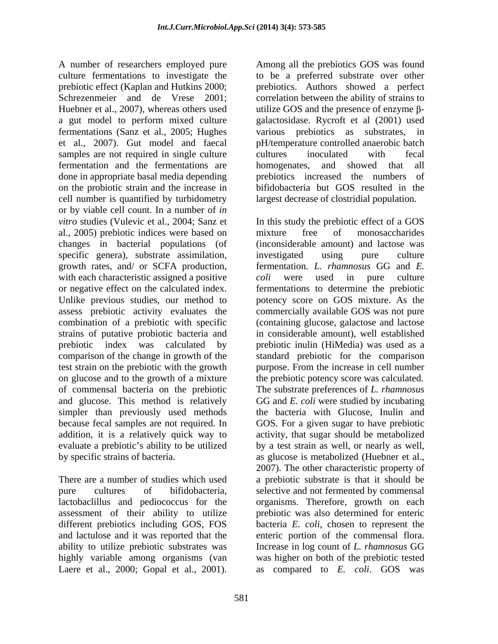A number of researchers employed pure Among all the prebiotics GOS was found culture fermentations to investigate the to be a preferred substrate over other prebiotic effect (Kaplan and Hutkins 2000; prebiotics. Authors showed a perfect Schrezenmeier and de Vrese 2001; correlation between the ability of strains to Huebner et al., 2007), whereas others used utilize GOS and the presence of enzyme  $\beta$ a gut model to perform mixed culture fermentations (Sanz et al., 2005; Hughes various prebiotics as substrates, in et al., 2007). Gut model and faecal pH/temperature controlled anaerobic batch samples are not required in single culture cultures inoculated with fecal fermentation and the fermentations are bomogenates, and showed that all done in appropriate basal media depending on the probiotic strain and the increase in cell number is quantified by turbidometry or by viable cell count. In a number of *in vitro* studies (Vulevic et al., 2004; Sanz et In this study the prebiotic effect of a GOS al., 2005) prebiotic indices were based on changes in bacterial populations (of specific genera), substrate assimilation, investigated using pure culture growth rates, and/ or SCFA production, with each characteristic assigned a positive coli were used in pure culture or negative effect on the calculated index. fermentations to determine the prebiotic Unlike previous studies, our method to potency score on GOS mixture. As the assess prebiotic activity evaluates the combination of a prebiotic with specific (containing glucose, galactose and lactose strains of putative probiotic bacteria and in considerable amount), well established prebiotic index was calculated by prebiotic inulin (HiMedia) was used as a comparison of the change in growth of the standard prebiotic for the comparison test strain on the prebiotic with the growth purpose. From the increase in cell number on glucose and to the growth of a mixture the prebiotic potency score was calculated. of commensal bacteria on the prebiotic The substrate preferences of *L. rhamnosus* and glucose. This method is relatively simpler than previously used methods the bacteria with Glucose, Inulin and because fecal samples are not required. In GOS. For a given sugar to have prebiotic addition, it is a relatively quick way to activity, that sugar should be metabolized evaluate a prebiotic's ability to be utilized A manner of researches employed (new Among all the prebiotics CoS was found in the predict of Chiplara (1.1, 1, 2001). The continues the continues in the predict of the continues in the predict of the predict of the predi

ability to utilize prebiotic substrates was Increase in log count of L. rhamnosus GG

galactosidase. Rycroft et al (2001) used cultures inoculated with fecal homogenates, and showed that all prebiotics increased the numbers of bifidobacteria but GOS resulted in the largest decrease of clostridial population.

by specific strains of bacteria. as glucose is metabolized (Huebner et al., There are a number of studies which used a prebiotic substrate is that it should be pure cultures of bifidobacteria, selective and not fermented by commensal lactobaclillus and pediococcus for the organisms. Therefore, growth on each assessment of their ability to utilize prebiotic was also determined for enteric different prebiotics including GOS, FOS bacteria *E. coli*, chosen to represent the and lactulose and it was reported that the enteric portion of the commensal flora. highly variable among organisms (van was higher on both of the prebiotic tested mixture free of monosaccharides (inconsiderable amount) and lactose was investigated using pure culture fermentation. *L. rhamnosus* GG and *E. coli* were used in pure culture commercially available GOS was not pure GG and *E. coli* were studied by incubating by a test strain as well, or nearly as well, 2007). The other characteristic property of Increase in log count of *L. rhamnosus* GG as compared to *E. coli*. GOS was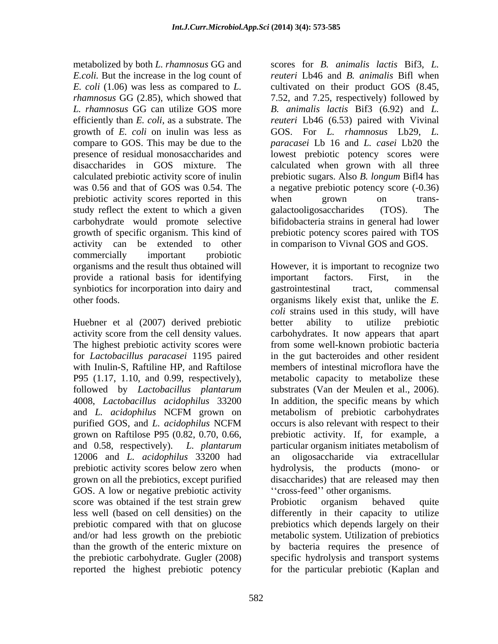metabolized by both *L. rhamnosus* GG and *E.coli.* But the increase in the log count of compare to GOS. This may be due to the prebiotic activity scores reported in this when grown on transstudy reflect the extent to which a given galactooligosaccharides (TOS). The carbohydrate would promote selective activity can be extended to other in comparison to Vivnal GOS and GOS. commercially important probiotic organisms and the result thus obtained will provide a rational basis for identifying important factors. First, in the synbiotics for incorporation into dairy and gastrointestinal tract, commensal

Huebner et al (2007) derived prebiotic better ability to utilize prebiotic activity score from the cell density values. for *Lactobacillus paracasei* 1195 paired 12006 and *L. acidophilus* 33200 had prebiotic activity scores below zero when hydrolysis, the products (mono- or grown on all the prebiotics, except purified GOS. A low or negative prebiotic activity reported the highest prebiotic potency for the particular prebiotic (Kaplan and

*E. coli* (1.06) was less as compared to *L.* cultivated on their product GOS (8.45, *rhamnosus* GG (2.85), which showed that 7.52, and 7.25, respectively) followed by *L. rhamnosus* GG can utilize GOS more *B. animalis lactis*Bif3 (6.92) and *L.*  efficiently than *E. coli*, as a substrate. The *reuteri* Lb46 (6.53) paired with Vivinal growth of *E. coli* on inulin was less as GOS. For *L. rhamnosus* Lb29, *L.*  presence of residual monosaccharides and lowest prebiotic potency scores were disaccharides in GOS mixture. The calculated when grown with all three calculated prebiotic activity score of inulin prebiotic sugars. Also *B. longum* Bifl4 has was 0.56 and that of GOS was 0.54. The a negative prebiotic potency score (-0.36) growth of specific organism. This kind of prebiotic potency scores paired with TOS scores for *B. animalis lactis* Bif3, *L. reuteri* Lb46 and *B. animalis* Bifl when *paracasei* Lb 16 and *L. casei* Lb20 the when grown on transgalactooligosaccharides (TOS). The bifidobacteria strains in general had lower

other foods. organisms likely exist that, unlike the *E.*  The highest prebiotic activity scores were from some well-known probiotic bacteria with Inulin-S, Raftiline HP, and Raftilose members of intestinal microflora have the P95 (1.17, 1.10, and 0.99, respectively), metabolic capacity to metabolize these followed by *Lactobacillus plantarum* substrates (Van der Meulen et al., 2006). 4008, *Lactobacillus acidophilus* 33200 In addition, the specific means by which and *L. acidophilus* NCFM grown on purified GOS, and *L. acidophilus* NCFM grown on Raftilose P95 (0.82, 0.70, 0.66, prebiotic activity. If, for example, a and 0.58, respectively). *L. plantarum* particular organism initiates metabolism of However, it is important to recognize two important factors. First, in the gastrointestinal tract, commensal *coli* strains used in this study, will have better ability to utilize prebiotic carbohydrates. It now appears that apart in the gut bacteroides and other resident metabolism of prebiotic carbohydrates occurs is also relevant with respect to their an oligosaccharide via extracellular hydrolysis, the products disaccharides) that are released may then "cross-feed" other organisms.

score was obtained if the test strain grew Probiotic organism behaved quite less well (based on cell densities) on the differently in their capacity to utilize prebiotic compared with that on glucose prebiotics which depends largely on their and/or had less growth on the prebiotic metabolic system. Utilization of prebiotics than the growth of the enteric mixture on by bacteria requires the presence of the prebiotic carbohydrate. Gugler (2008) specific hydrolysis and transport systems Probiotic organism behaved quite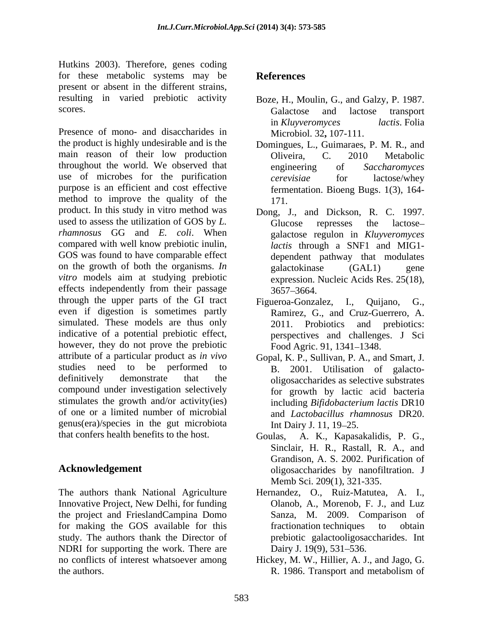Hutkins 2003). Therefore, genes coding for these metabolic systems may be **References** present or absent in the different strains, resulting in varied prebiotic activity scores. Galactose and lactose transport

Presence of mono- and disaccharides in the product is highly undesirable and is the Domingues, L., Guimaraes, P. M. R., and main reason of their low production Cliveira. C. 2010 Metabolic throughout the world. We observed that engineering of Saccharomyces use of microbes for the purification *cerevisiae* for lactose/whey purpose is an efficient and cost effective method to improve the quality of the 171. product. In this study in vitro method was used to assess the utilization of GOS by *L. rhamnosus* GG and *E. coli*. When compared with well know prebiotic inulin, GOS was found to have comparable effect on the growth of both the organisms.  $In$  galactokinase  $(GAL1)$  gene *vitro* models aim at studying prebiotic effects independently from their passage  $3657-3664$ . through the upper parts of the GI tract Figueroa-Gonzalez, I., Quijano, G., even if digestion is sometimes partly **Ramirez**, G., and Cruz-Guerrero, A. simulated. These models are thus only 2011. Probiotics and prebiotics: indicative of a potential prebiotic effect, however, they do not prove the prebiotic attribute of a particular product as *in vivo* studies need to be performed to  $B$ , 2001. Utilisation of galactodefinitively demonstrate that the oligosaccharides as selective substrates compound under investigation selectively stimulates the growth and/or activity(ies) including *Bifidobacterium lactis* DR10 of one or a limited number of microbial genus(era)/species in the gut microbiota that confers health benefits to the host. Goulas, A. K., Kapasakalidis, P. G.,

The authors thank National Agriculture Hernandez, O., Ruiz-Matutea, A. I., Innovative Project, New Delhi, for funding Clanob, A., Morenob, F. J., and Luz the project and FrieslandCampina Domo for making the GOS available for this study. The authors thank the Director of NDRI for supporting the work. There are Dairy J. 19(9), 531–536. no conflicts of interest whatsoever among Hickey, M. W., Hillier, A. J., and Jago, G. the authors. R. 1986. Transport and metabolism of

### **References**

- Boze, H., Moulin, G., and Galzy, P. 1987. Galactose and lactose transport in *Kluyveromyces lactis*. Folia Microbiol. 32**,** 107-111.
- Oliveira, C. 2010 Metabolic engineering of *Saccharomyces cerevisiae* for lactose/whey fermentation. Bioeng Bugs. 1(3), 164- 171.
- Dong, J., and Dickson, R. C. 1997. Glucose represses the lactose galactose regulon in *Kluyveromyces lactis* through a SNF1 and MIG1 dependent pathway that modulates galactokinase (GAL1) gene expression. Nucleic Acids Res. 25(18), 3657 3664.
- Figueroa-Gonzalez, I., Quijano, G.,<br>Ramirez, G., and Cruz-Guerrero, A.<br>2011. Probiotics and prebiotics: perspectives and challenges. J Sci Food Agric. 91, 1341-1348.
- Gopal, K. P., Sullivan, P. A., and Smart, J.<br>B. 2001. Utilisation of galactofor growth by lactic acid bacteria and *Lactobacillus rhamnosus* DR20. Int Dairy J. 11, 19–25.
- **Acknowledgement**  oligosaccharides by nanofiltration. J Goulas, A. K., Kapasakalidis, P. G., Sinclair, H. R., Rastall, R. A., and Grandison, A. S. 2002. Purification of Memb Sci. 209(1), 321-335.
	- Hernandez, O., Ruiz-Matutea, A. I., Olanob, A., Morenob, F. J., and Luz Sanza, M. 2009. Comparison of fractionation techniques to obtain prebiotic galactooligosaccharides. Int Dairy J. 19(9), 531–536.
	- Hickey, M. W., Hillier, A. J., and Jago, G. R. 1986. Transport and metabolism of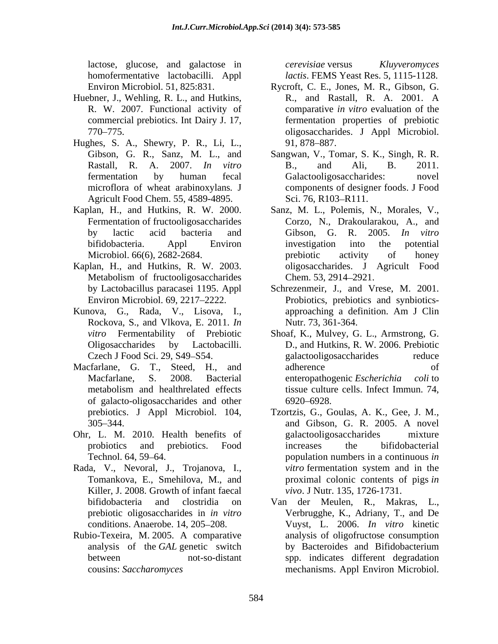lactose, glucose, and galactose in *cerevisiae* versus *Kluyveromyces* 

- Huebner, J., Wehling, R. L., and Hutkins, R., and Rastall, R. A. 2001. A
- Hughes, S. A., Shewry, P. R., Li, L., 91, 878–887.<br>Gibson, G. R., Sanz, M. L., and Sangwan, V., Tomar, S. K., Singh, R. R. Agricult Food Chem. 55, 4589-4895. Sci. 76, R103-R111.
- 
- Kaplan, H., and Hutkins, R. W. 2003. Metabolism of fructooligosaccharides Chem. 53, 2914–2921.
- Kunova, G., Rada, V., Lisova, I., Rockova, S., and Vlkova, E. 2011. *In*
- Macfarlane, G. T., Steed, H., and of galacto-oligosaccharides and other prebiotics. J Appl Microbiol. 104,
- Ohr, L. M. 2010. Health benefits of
- Rada, V., Nevoral, J., Trojanova, I., *vitro* fermentation system and in the Tomankova, E., Smehilova, M., and proximal colonic contents of pigs in Killer, J. 2008. Growth of infant faecal
- Rubio-Texeira, M. 2005. A comparative

homofermentative lactobacilli. Appl *lactis*. FEMS Yeast Res. 5, 1115-1128. *cerevisiae* versus *Kluyveromyces* 

- Environ Microbiol. 51, 825:831. Rycroft, C. E., Jones, M. R., Gibson, G. R. W. 2007. Functional activity of comparative *in vitro* evaluation of the commercial prebiotics. Int Dairy J. 17, fermentation properties of prebiotic 770 775. oligosaccharides. J Appl Microbiol. Rycroft, C. E., Jones, M. R., Gibson, G. R., and Rastall, R. A. 2001. <sup>A</sup> 91, 878–887.
- Rastall, R. A. 2007. *In vitro* fermentation by human fecal microflora of wheat arabinoxylans*.* J components of designer foods. J Food Sangwan, V., Tomar, S. K., Singh, R. R.<br>B., and Ali, B. 2011. Galactooligosaccharides: novel Sci. 76, R103–R111.
- Kaplan, H., and Hutkins, R. W. 2000. Sanz, M. L., Polemis, N., Morales, V., Fermentation of fructooligosaccharides Corzo, N., Drakoularakou, A., and Fermentation of fructooligosaccharides Corzo, N., Drakoularakou, A., and by lactic acid bacteria and Gibson, G. R. 2005. In vitro bifidobacteria. Appl Environ Microbiol. 66(6), 2682-2684. The prebiotic activity of honey Gibson, G. R. 2005. *In vitro* investigation into the potential prebiotic activity of honey oligosaccharides. J Agricult Food Chem. 53, 2914–2921.
	- by Lactobacillus paracasei 1195. Appl Schrezenmeir, J., and Vrese, M. 2001. Environ Microbiol. 69, 2217 2222. Probiotics, prebiotics and synbiotics approaching a definition. Am J Clin Nutr. 73, 361-364.
	- *vitro* Fermentability of Prebiotic Shoaf, K., Mulvey, G. L., Armstrong, G. Oligosaccharides by Lactobacilli. D., and Hutkins, R. W. 2006. Prebiotic Oligosaccharides by Lactobacilli. D., and Hutkins, R. W. 2006. Prebiotic Czech J Food Sci. 29, S49–S54. (galactooligos accharides reduce Macfarlane, S. 2008. Bacterial enteropathogenic *Escherichia coli* to metabolism and healthrelated effects tissue culture cells. Infect Immun. 74, galactooligosaccharides reduce adherence of tissue culture cells. Infect Immun. 74, 6920 6928.
	- 305 344. and Gibson, G. R. 2005. A novel probiotics and prebiotics. Food Technol. 64, 59–64. **population** numbers in a continuous *in* **population** Tzortzis, G., Goulas, A. K., Gee, J. M., galactooligosaccharides mixture increases the bifidobacterial *vitro* fermentation system and in the proximal colonic contents of pigs *in vivo*. J Nutr. 135, 1726-1731.
	- bifidobacteria and clostridia on Van der Meulen, R., Makras, L., prebiotic oligosaccharides in *in vitro* Verbrugghe, K., Adriany, T., and De conditions. Anaerobe. 14, 205 208. Vuyst, L. 2006. *In vitro* kinetic analysis of the *GAL* genetic switch between not-so-distant spp. indicates different degradation cousins: *Saccharomyces*  mechanisms. Appl Environ Microbiol. analysis of oligofructose consumption by Bacteroides and Bifidobacterium